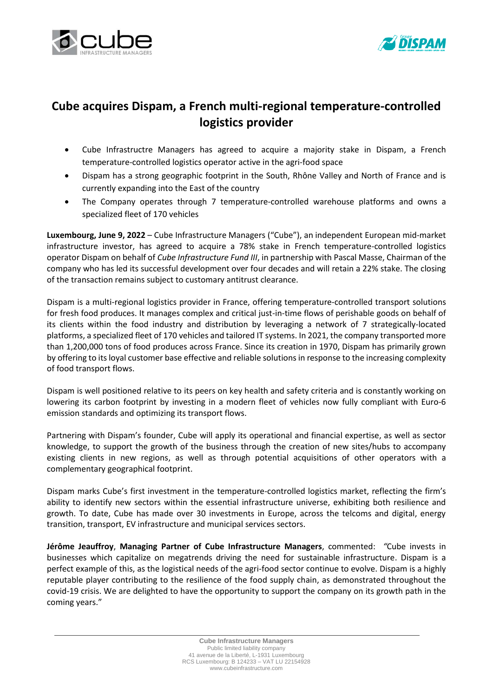



## **Cube acquires Dispam, a French multi-regional temperature-controlled logistics provider**

- Cube Infrastructre Managers has agreed to acquire a majority stake in Dispam, a French temperature-controlled logistics operator active in the agri-food space
- Dispam has a strong geographic footprint in the South, Rhône Valley and North of France and is currently expanding into the East of the country
- The Company operates through 7 temperature-controlled warehouse platforms and owns a specialized fleet of 170 vehicles

**Luxembourg, June 9, 2022** – Cube Infrastructure Managers ("Cube"), an independent European mid-market infrastructure investor, has agreed to acquire a 78% stake in French temperature-controlled logistics operator Dispam on behalf of *Cube Infrastructure Fund III*, in partnership with Pascal Masse, Chairman of the company who has led its successful development over four decades and will retain a 22% stake. The closing of the transaction remains subject to customary antitrust clearance.

Dispam is a multi-regional logistics provider in France, offering temperature-controlled transport solutions for fresh food produces. It manages complex and critical just-in-time flows of perishable goods on behalf of its clients within the food industry and distribution by leveraging a network of 7 strategically-located platforms, a specialized fleet of 170 vehicles and tailored IT systems. In 2021, the company transported more than 1,200,000 tons of food produces across France. Since its creation in 1970, Dispam has primarily grown by offering to its loyal customer base effective and reliable solutions in response to the increasing complexity of food transport flows.

Dispam is well positioned relative to its peers on key health and safety criteria and is constantly working on lowering its carbon footprint by investing in a modern fleet of vehicles now fully compliant with Euro-6 emission standards and optimizing its transport flows.

Partnering with Dispam's founder, Cube will apply its operational and financial expertise, as well as sector knowledge, to support the growth of the business through the creation of new sites/hubs to accompany existing clients in new regions, as well as through potential acquisitions of other operators with a complementary geographical footprint.

Dispam marks Cube's first investment in the temperature-controlled logistics market, reflecting the firm's ability to identify new sectors within the essential infrastructure universe, exhibiting both resilience and growth. To date, Cube has made over 30 investments in Europe, across the telcoms and digital, energy transition, transport, EV infrastructure and municipal services sectors.

**Jérôme Jeauffroy**, **Managing Partner of Cube Infrastructure Managers**, commented: *"*Cube invests in businesses which capitalize on megatrends driving the need for sustainable infrastructure. Dispam is a perfect example of this, as the logistical needs of the agri-food sector continue to evolve. Dispam is a highly reputable player contributing to the resilience of the food supply chain, as demonstrated throughout the covid-19 crisis. We are delighted to have the opportunity to support the company on its growth path in the coming years."